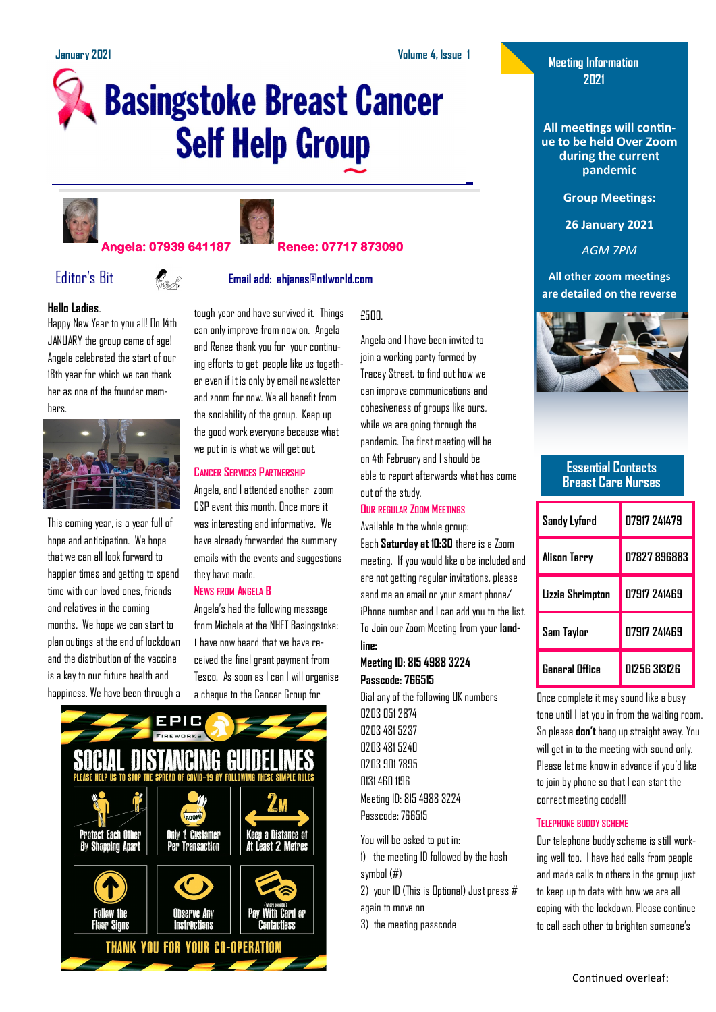# **Basingstoke Breast Cancer Self Help Group**





### **Angela: 07939 641187 Renee: 07717 873090**

## Editor's Bit **Email add: ehjanes@ntlworld.com**

#### **Hello Ladies**.

Happy New Year to you all! On 14th JANUARY the group came of age! Angela celebrated the start of our 18th year for which we can thank her as one of the founder members.



This coming year, is a year full of hope and anticipation. We hope that we can all look forward to happier times and getting to spend time with our loved ones, friends and relatives in the coming months. We hope we can start to plan outings at the end of lockdown and the distribution of the vaccine is a key to our future health and happiness. We have been through a

tough year and have survived it. Things can only improve from now on. Angela and Renee thank you for your continuing efforts to get people like us together even if it is only by email newsletter and zoom for now. We all benefit from the sociability of the group, Keep up the good work everyone because what we put in is what we will get out.

#### **CANCER SERVICES PARTNERSHIP**

Angela, and I attended another zoom CSP event this month. Once more it was interesting and informative. We have already forwarded the summary emails with the events and suggestions they have made.

#### **NEWS FROM ANGELA B**

Angela's had the following message from Michele at the NHFT Basingstoke: I have now heard that we have received the final grant payment from Tesco. As soon as I can I will organise



#### £500.

Angela and I have been invited to join a working party formed by Tracey Street, to find out how we can improve communications and cohesiveness of groups like ours, while we are going through the pandemic. The first meeting will be on 4th February and I should be able to report afterwards what has come out of the study.

#### **OUR REGULAR ZOOM MEETINGS**

Available to the whole group: Each **Saturday at 10:30** there is a Zoom meeting. If you would like o be included and are not getting regular invitations, please send me an email or your smart phone/ iPhone number and I can add you to the list. To Join our Zoom Meeting from your **landline:** 

#### **Meeting ID: 815 4988 3224 Passcode: 766515**

Dial any of the following UK numbers 0203 051 2874 0203 481 5237 0203 481 5240 0203 901 7895 0131 460 1196 Meeting ID: 815 4988 3224 Passcode: 766515

You will be asked to put in: 1) the meeting ID followed by the hash symbol (#) 2) your ID (This is Optional) Just press # again to move on 3) the meeting passcode

**Meeting Information 2021**

**All meetings will continue to be held Over Zoom during the current pandemic**

**Group Meetings:**

**26 January 2021**

*AGM 7PM*

**All other zoom meetings are detailed on the reverse**



#### **Essential Contacts Breast Care Nurses**

| Sandy Lyford          | 07917 241479        |  |
|-----------------------|---------------------|--|
| Alison Terry          | <b>N7827 896883</b> |  |
| Lizzie Shrimpton      | 07917 741469        |  |
| Sam Taylor            | 07917 241469        |  |
| <b>General Office</b> | 01256 313126        |  |

a cheque to the Cancer Group for Dial any of the following UK numbers Dice complete it may sound like a busy tone until I let you in from the waiting room. So please **don't**hang up straight away. You will get in to the meeting with sound only. Please let me know in advance if you'd like to join by phone so that I can start the correct meeting code!!!

#### **TELEPHONE BUDDY SCHEME**

Our telephone buddy scheme is still working well too. I have had calls from people and made calls to others in the group just to keep up to date with how we are all coping with the lockdown. Please continue to call each other to brighten someone's